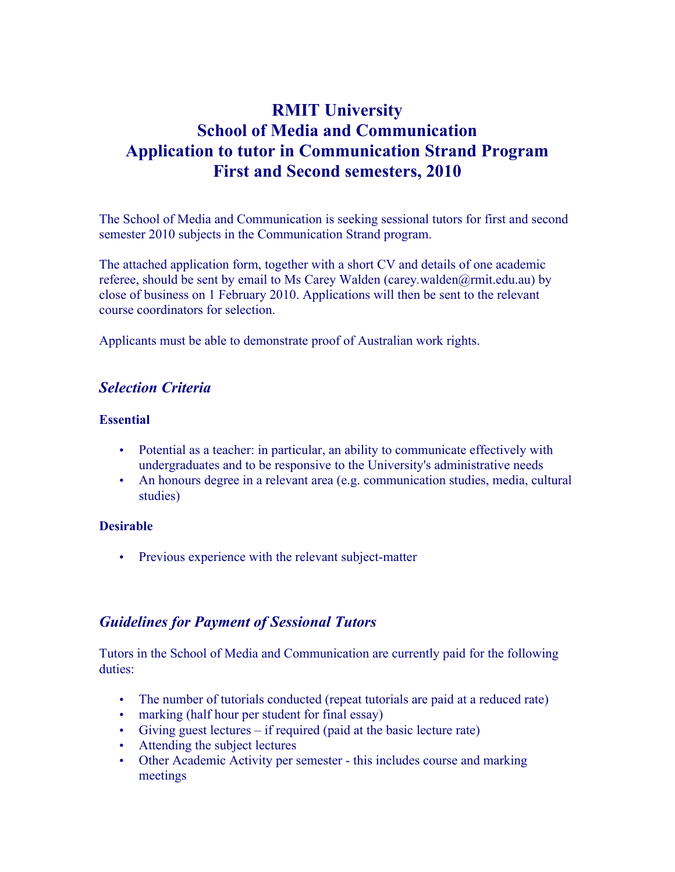# **RMIT University School of Media and Communication Application to tutor in Communication Strand Program First and Second semesters, 2010**

The School of Media and Communication is seeking sessional tutors for first and second semester 2010 subjects in the Communication Strand program.

The attached application form, together with a short CV and details of one academic referee, should be sent by email to Ms Carey Walden (carey*.*walden*@*rmit.edu.au) by close of business on 1 February 2010. Applications will then be sent to the relevant course coordinators for selection.

Applicants must be able to demonstrate proof of Australian work rights.

### *Selection Criteria*

### **Essential**

- Potential as a teacher: in particular, an ability to communicate effectively with undergraduates and to be responsive to the University's administrative needs
- An honours degree in a relevant area (e.g. communication studies, media, cultural studies)

### **Desirable**

• Previous experience with the relevant subject-matter

## *Guidelines for Payment of Sessional Tutors*

Tutors in the School of Media and Communication are currently paid for the following duties:

- The number of tutorials conducted (repeat tutorials are paid at a reduced rate)
- marking (half hour per student for final essay)
- Giving guest lectures if required (paid at the basic lecture rate)
- Attending the subject lectures
- Other Academic Activity per semester this includes course and marking meetings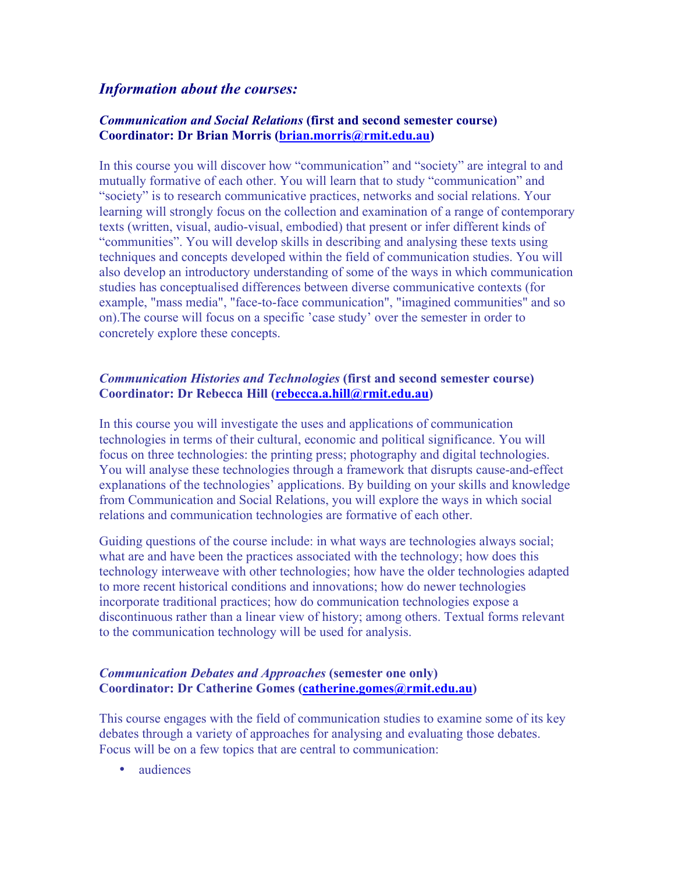### *Information about the courses:*

### *Communication and Social Relations* **(first and second semester course) Coordinator: Dr Brian Morris (brian.morris@rmit.edu.au)**

In this course you will discover how "communication" and "society" are integral to and mutually formative of each other. You will learn that to study "communication" and "society" is to research communicative practices, networks and social relations. Your learning will strongly focus on the collection and examination of a range of contemporary texts (written, visual, audio-visual, embodied) that present or infer different kinds of "communities". You will develop skills in describing and analysing these texts using techniques and concepts developed within the field of communication studies. You will also develop an introductory understanding of some of the ways in which communication studies has conceptualised differences between diverse communicative contexts (for example, "mass media", "face-to-face communication", "imagined communities" and so on).The course will focus on a specific 'case study' over the semester in order to concretely explore these concepts.

### *Communication Histories and Technologies* **(first and second semester course) Coordinator: Dr Rebecca Hill (rebecca.a.hill@rmit.edu.au)**

In this course you will investigate the uses and applications of communication technologies in terms of their cultural, economic and political significance. You will focus on three technologies: the printing press; photography and digital technologies. You will analyse these technologies through a framework that disrupts cause-and-effect explanations of the technologies' applications. By building on your skills and knowledge from Communication and Social Relations, you will explore the ways in which social relations and communication technologies are formative of each other.

Guiding questions of the course include: in what ways are technologies always social; what are and have been the practices associated with the technology; how does this technology interweave with other technologies; how have the older technologies adapted to more recent historical conditions and innovations; how do newer technologies incorporate traditional practices; how do communication technologies expose a discontinuous rather than a linear view of history; among others. Textual forms relevant to the communication technology will be used for analysis.

### *Communication Debates and Approaches* **(semester one only) Coordinator: Dr Catherine Gomes (catherine.gomes@rmit.edu.au)**

This course engages with the field of communication studies to examine some of its key debates through a variety of approaches for analysing and evaluating those debates. Focus will be on a few topics that are central to communication:

• audiences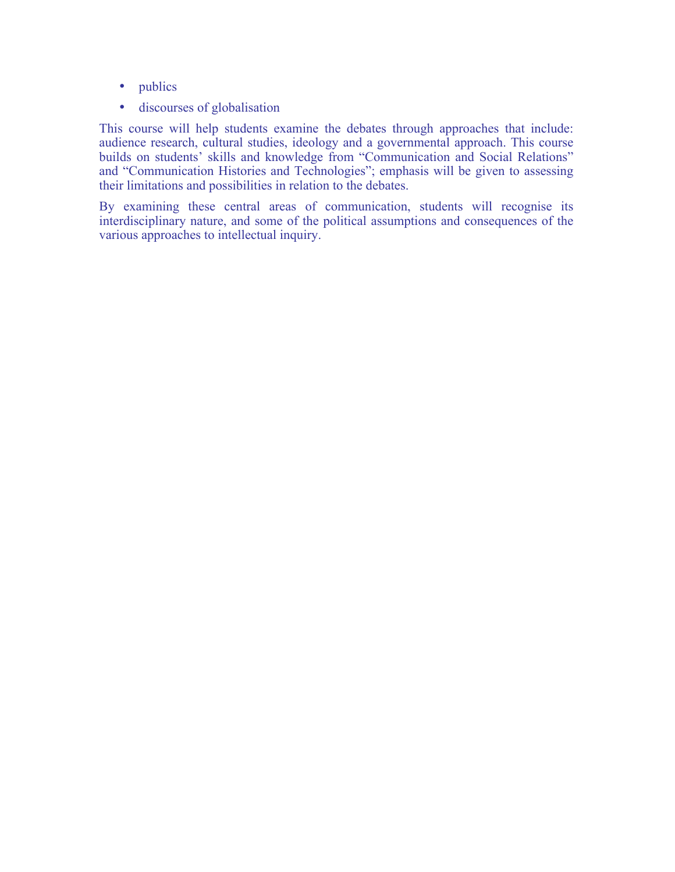- publics
- discourses of globalisation

This course will help students examine the debates through approaches that include: audience research, cultural studies, ideology and a governmental approach. This course builds on students' skills and knowledge from "Communication and Social Relations" and "Communication Histories and Technologies"; emphasis will be given to assessing their limitations and possibilities in relation to the debates.

By examining these central areas of communication, students will recognise its interdisciplinary nature, and some of the political assumptions and consequences of the various approaches to intellectual inquiry.